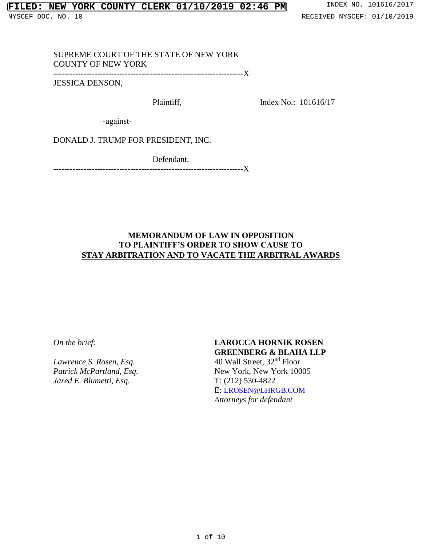## SUPREME COURT OF THE STATE OF NEW YORK COUNTY OF NEW YORK

---------------------------------------------------------------------X

JESSICA DENSON,

Plaintiff,

Index No.: 101616/17

-against-

DONALD J. TRUMP FOR PRESIDENT, INC.

Defendant. ---------------------------------------------------------------------X

# **MEMORANDUM OF LAW IN OPPOSITION TO PLAINTIFF'S ORDER TO SHOW CAUSE TO STAY ARBITRATION AND TO VACATE THE ARBITRAL AWARDS**

*On the brief:*

*Lawrence S. Rosen, Esq. Patrick McPartland, Esq. Jared E. Blumetti, Esq.*

# **LAROCCA HORNIK ROSEN GREENBERG & BLAHA LLP**

40 Wall Street, 32nd Floor New York, New York 10005 T: (212) 530-4822 E: [LROSEN@LHRGB.COM](mailto:LROSEN@LHRGB.COM) *Attorneys for defendant*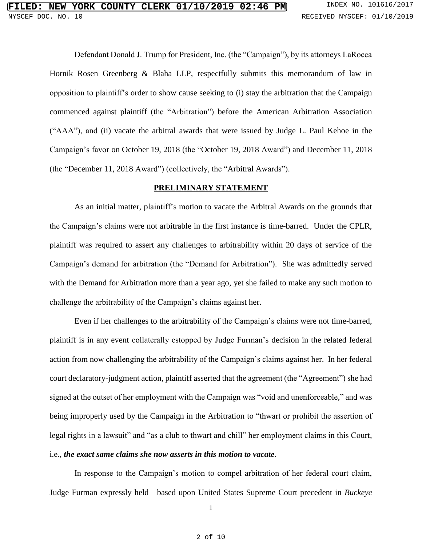Defendant Donald J. Trump for President, Inc. (the "Campaign"), by its attorneys LaRocca Hornik Rosen Greenberg & Blaha LLP, respectfully submits this memorandum of law in opposition to plaintiff's order to show cause seeking to (i) stay the arbitration that the Campaign commenced against plaintiff (the "Arbitration") before the American Arbitration Association ("AAA"), and (ii) vacate the arbitral awards that were issued by Judge L. Paul Kehoe in the Campaign's favor on October 19, 2018 (the "October 19, 2018 Award") and December 11, 2018 (the "December 11, 2018 Award") (collectively, the "Arbitral Awards").

#### **PRELIMINARY STATEMENT**

As an initial matter, plaintiff's motion to vacate the Arbitral Awards on the grounds that the Campaign's claims were not arbitrable in the first instance is time-barred. Under the CPLR, plaintiff was required to assert any challenges to arbitrability within 20 days of service of the Campaign's demand for arbitration (the "Demand for Arbitration"). She was admittedly served with the Demand for Arbitration more than a year ago, yet she failed to make any such motion to challenge the arbitrability of the Campaign's claims against her.

Even if her challenges to the arbitrability of the Campaign's claims were not time-barred, plaintiff is in any event collaterally estopped by Judge Furman's decision in the related federal action from now challenging the arbitrability of the Campaign's claims against her. In her federal court declaratory-judgment action, plaintiff asserted that the agreement (the "Agreement") she had signed at the outset of her employment with the Campaign was "void and unenforceable," and was being improperly used by the Campaign in the Arbitration to "thwart or prohibit the assertion of legal rights in a lawsuit" and "as a club to thwart and chill" her employment claims in this Court, i.e., *the exact same claims she now asserts in this motion to vacate*.

In response to the Campaign's motion to compel arbitration of her federal court claim, Judge Furman expressly held—based upon United States Supreme Court precedent in *Buckeye* 

1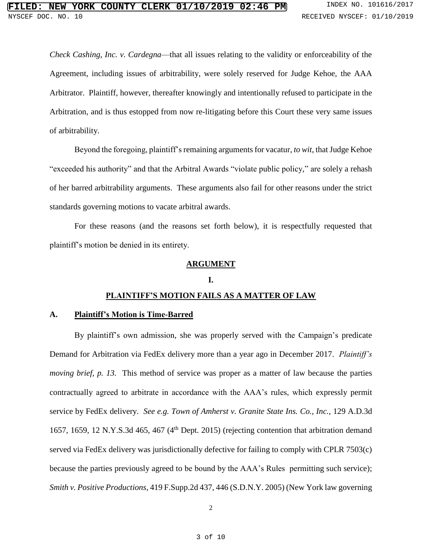*Check Cashing, Inc. v. Cardegna*—that all issues relating to the validity or enforceability of the Agreement, including issues of arbitrability, were solely reserved for Judge Kehoe, the AAA Arbitrator. Plaintiff, however, thereafter knowingly and intentionally refused to participate in the Arbitration, and is thus estopped from now re-litigating before this Court these very same issues of arbitrability.

Beyond the foregoing, plaintiff's remaining arguments for vacatur, *to wit*, that Judge Kehoe "exceeded his authority" and that the Arbitral Awards "violate public policy," are solely a rehash of her barred arbitrability arguments. These arguments also fail for other reasons under the strict standards governing motions to vacate arbitral awards.

For these reasons (and the reasons set forth below), it is respectfully requested that plaintiff's motion be denied in its entirety.

#### **ARGUMENT**

#### **I.**

# **PLAINTIFF'S MOTION FAILS AS A MATTER OF LAW**

#### **A. Plaintiff's Motion is Time-Barred**

By plaintiff's own admission, she was properly served with the Campaign's predicate Demand for Arbitration via FedEx delivery more than a year ago in December 2017. *Plaintiff's moving brief, p. 13.* This method of service was proper as a matter of law because the parties contractually agreed to arbitrate in accordance with the AAA's rules, which expressly permit service by FedEx delivery. *See e.g. Town of Amherst v. Granite State Ins. Co., Inc.*, 129 A.D.3d 1657, 1659, 12 N.Y.S.3d 465, 467 ( $4<sup>th</sup>$  Dept. 2015) (rejecting contention that arbitration demand served via FedEx delivery was jurisdictionally defective for failing to comply with CPLR 7503(c) because the parties previously agreed to be bound by the AAA's Rules permitting such service); *Smith v. Positive Productions*, 419 F.Supp.2d 437, 446 (S.D.N.Y. 2005) (New York law governing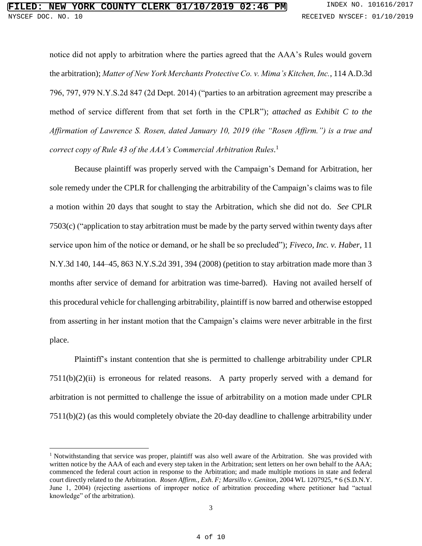notice did not apply to arbitration where the parties agreed that the AAA's Rules would govern the arbitration); *Matter of New York Merchants Protective Co. v. Mima's Kitchen, Inc.*, 114 A.D.3d 796, 797, 979 N.Y.S.2d 847 (2d Dept. 2014) ("parties to an arbitration agreement may prescribe a method of service different from that set forth in the CPLR"); *attached as Exhibit C to the Affirmation of Lawrence S. Rosen, dated January 10, 2019 (the "Rosen Affirm.") is a true and correct copy of Rule 43 of the AAA's Commercial Arbitration Rules.* 1

Because plaintiff was properly served with the Campaign's Demand for Arbitration, her sole remedy under the CPLR for challenging the arbitrability of the Campaign's claims was to file a motion within 20 days that sought to stay the Arbitration, which she did not do. *See* CPLR 7503(c) ("application to stay arbitration must be made by the party served within twenty days after service upon him of the notice or demand, or he shall be so precluded"); *Fiveco, Inc. v. Haber*, 11 N.Y.3d 140, 144–45, 863 N.Y.S.2d 391, 394 (2008) (petition to stay arbitration made more than 3 months after service of demand for arbitration was time-barred). Having not availed herself of this procedural vehicle for challenging arbitrability, plaintiff is now barred and otherwise estopped from asserting in her instant motion that the Campaign's claims were never arbitrable in the first place.

Plaintiff's instant contention that she is permitted to challenge arbitrability under CPLR  $7511(b)(2)(ii)$  is erroneous for related reasons. A party properly served with a demand for arbitration is not permitted to challenge the issue of arbitrability on a motion made under CPLR 7511(b)(2) (as this would completely obviate the 20-day deadline to challenge arbitrability under

 $\overline{a}$ 

<sup>&</sup>lt;sup>1</sup> Notwithstanding that service was proper, plaintiff was also well aware of the Arbitration. She was provided with written notice by the AAA of each and every step taken in the Arbitration; sent letters on her own behalf to the AAA; commenced the federal court action in response to the Arbitration; and made multiple motions in state and federal court directly related to the Arbitration. *Rosen Affirm., Exh. F; Marsillo v. Geniton*, 2004 WL 1207925, \* 6 (S.D.N.Y. June 1, 2004) (rejecting assertions of improper notice of arbitration proceeding where petitioner had "actual knowledge" of the arbitration).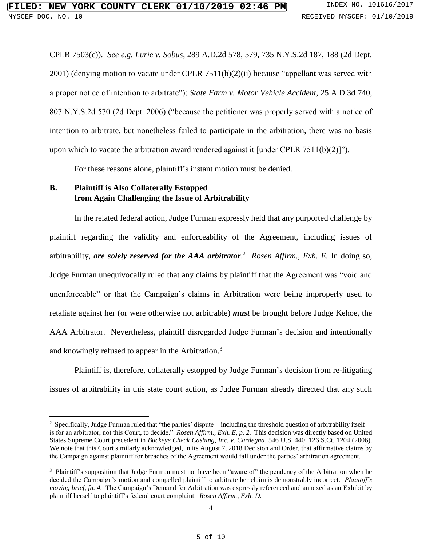CPLR 7503(c)). *See e.g. Lurie v. Sobus*, 289 A.D.2d 578, 579, 735 N.Y.S.2d 187, 188 (2d Dept. 2001) (denying motion to vacate under CPLR 7511(b)(2)(ii) because "appellant was served with a proper notice of intention to arbitrate"); *State Farm v. Motor Vehicle Accident*, 25 A.D.3d 740, 807 N.Y.S.2d 570 (2d Dept. 2006) ("because the petitioner was properly served with a notice of intention to arbitrate, but nonetheless failed to participate in the arbitration, there was no basis upon which to vacate the arbitration award rendered against it [under CPLR 7511(b)(2)]").

For these reasons alone, plaintiff's instant motion must be denied.

## **B. Plaintiff is Also Collaterally Estopped from Again Challenging the Issue of Arbitrability**

 $\overline{a}$ 

In the related federal action, Judge Furman expressly held that any purported challenge by plaintiff regarding the validity and enforceability of the Agreement, including issues of arbitrability, *are solely reserved for the AAA arbitrator*. <sup>2</sup> *Rosen Affirm., Exh. E.* In doing so, Judge Furman unequivocally ruled that any claims by plaintiff that the Agreement was "void and unenforceable" or that the Campaign's claims in Arbitration were being improperly used to retaliate against her (or were otherwise not arbitrable) *must* be brought before Judge Kehoe, the AAA Arbitrator. Nevertheless, plaintiff disregarded Judge Furman's decision and intentionally and knowingly refused to appear in the Arbitration.<sup>3</sup>

Plaintiff is, therefore, collaterally estopped by Judge Furman's decision from re-litigating issues of arbitrability in this state court action, as Judge Furman already directed that any such

<sup>&</sup>lt;sup>2</sup> Specifically, Judge Furman ruled that "the parties' dispute—including the threshold question of arbitrability itself is for an arbitrator, not this Court, to decide." *Rosen Affirm., Exh. E, p. 2.* This decision was directly based on United States Supreme Court precedent in *Buckeye Check Cashing, Inc. v. Cardegna*, 546 U.S. 440, 126 S.Ct. 1204 (2006). We note that this Court similarly acknowledged, in its August 7, 2018 Decision and Order, that affirmative claims by the Campaign against plaintiff for breaches of the Agreement would fall under the parties' arbitration agreement.

<sup>&</sup>lt;sup>3</sup> Plaintiff's supposition that Judge Furman must not have been "aware of" the pendency of the Arbitration when he decided the Campaign's motion and compelled plaintiff to arbitrate her claim is demonstrably incorrect. *Plaintiff's moving brief, fn. 4.* The Campaign's Demand for Arbitration was expressly referenced and annexed as an Exhibit by plaintiff herself to plaintiff's federal court complaint. *Rosen Affirm., Exh. D.*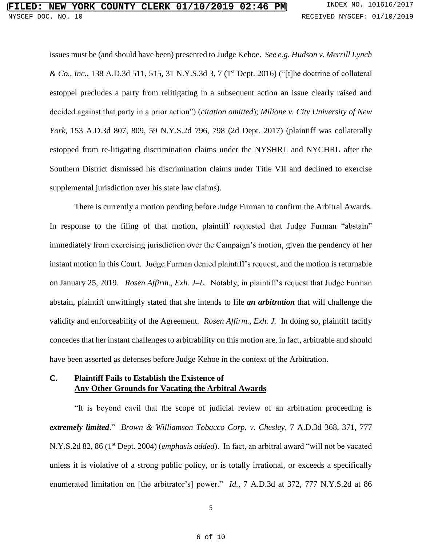issues must be (and should have been) presented to Judge Kehoe. *See e.g. Hudson v. Merrill Lynch & Co., Inc.*, 138 A.D.3d 511, 515, 31 N.Y.S.3d 3, 7 (1st Dept. 2016) ("[t]he doctrine of collateral estoppel precludes a party from relitigating in a subsequent action an issue clearly raised and decided against that party in a prior action") (*citation omitted*); *Milione v. City University of New York*, 153 A.D.3d 807, 809, 59 N.Y.S.2d 796, 798 (2d Dept. 2017) (plaintiff was collaterally estopped from re-litigating discrimination claims under the NYSHRL and NYCHRL after the Southern District dismissed his discrimination claims under Title VII and declined to exercise supplemental jurisdiction over his state law claims).

There is currently a motion pending before Judge Furman to confirm the Arbitral Awards. In response to the filing of that motion, plaintiff requested that Judge Furman "abstain" immediately from exercising jurisdiction over the Campaign's motion, given the pendency of her instant motion in this Court. Judge Furman denied plaintiff's request, and the motion is returnable on January 25, 2019. *Rosen Affirm., Exh. J–L.* Notably, in plaintiff's request that Judge Furman abstain, plaintiff unwittingly stated that she intends to file *an arbitration* that will challenge the validity and enforceability of the Agreement. *Rosen Affirm., Exh. J.* In doing so, plaintiff tacitly concedes that her instant challenges to arbitrability on this motion are, in fact, arbitrable and should have been asserted as defenses before Judge Kehoe in the context of the Arbitration.

### **C. Plaintiff Fails to Establish the Existence of Any Other Grounds for Vacating the Arbitral Awards**

"It is beyond cavil that the scope of judicial review of an arbitration proceeding is *extremely limited*." *Brown & Williamson Tobacco Corp. v. Chesley*, 7 A.D.3d 368, 371, 777 N.Y.S.2d 82, 86 (1st Dept. 2004) (*emphasis added*). In fact, an arbitral award "will not be vacated unless it is violative of a strong public policy, or is totally irrational, or exceeds a specifically enumerated limitation on [the arbitrator's] power." *Id.*, 7 A.D.3d at 372, 777 N.Y.S.2d at 86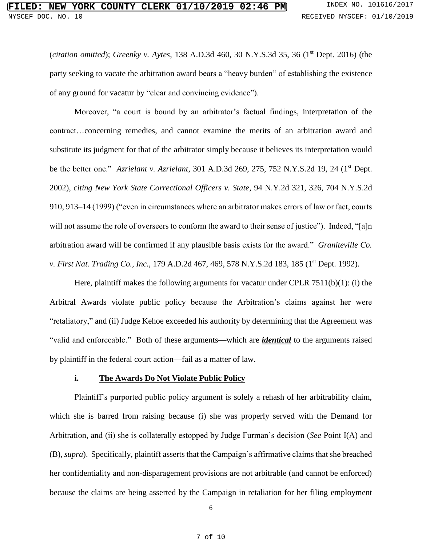(*citation omitted*); *Greenky v. Aytes*, 138 A.D.3d 460, 30 N.Y.S.3d 35, 36 (1st Dept. 2016) (the party seeking to vacate the arbitration award bears a "heavy burden" of establishing the existence of any ground for vacatur by "clear and convincing evidence").

Moreover, "a court is bound by an arbitrator's factual findings, interpretation of the contract…concerning remedies, and cannot examine the merits of an arbitration award and substitute its judgment for that of the arbitrator simply because it believes its interpretation would be the better one." *Azrielant v. Azrielant*, 301 A.D.3d 269, 275, 752 N.Y.S.2d 19, 24 (1st Dept. 2002), *citing New York State Correctional Officers v. State*, 94 N.Y.2d 321, 326, 704 N.Y.S.2d 910, 913–14 (1999) ("even in circumstances where an arbitrator makes errors of law or fact, courts will not assume the role of overseers to conform the award to their sense of justice"). Indeed, "[a]n arbitration award will be confirmed if any plausible basis exists for the award." *Graniteville Co. v. First Nat. Trading Co., Inc.,* 179 A.D.2d 467, 469, 578 N.Y.S.2d 183, 185 (1<sup>st</sup> Dept. 1992).

Here, plaintiff makes the following arguments for vacatur under CPLR 7511(b)(1): (i) the Arbitral Awards violate public policy because the Arbitration's claims against her were "retaliatory," and (ii) Judge Kehoe exceeded his authority by determining that the Agreement was "valid and enforceable." Both of these arguments—which are *identical* to the arguments raised by plaintiff in the federal court action—fail as a matter of law.

#### **i. The Awards Do Not Violate Public Policy**

Plaintiff's purported public policy argument is solely a rehash of her arbitrability claim, which she is barred from raising because (i) she was properly served with the Demand for Arbitration, and (ii) she is collaterally estopped by Judge Furman's decision (*See* Point I(A) and (B), *supra*). Specifically, plaintiff asserts that the Campaign's affirmative claims that she breached her confidentiality and non-disparagement provisions are not arbitrable (and cannot be enforced) because the claims are being asserted by the Campaign in retaliation for her filing employment

6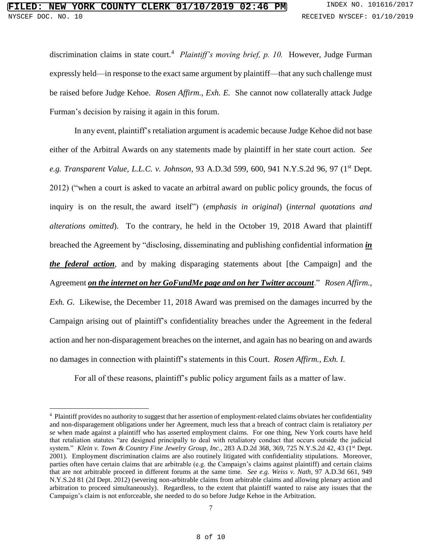discrimination claims in state court.<sup>4</sup> Plaintiff's moving brief, p. 10. However, Judge Furman expressly held—in response to the exact same argument by plaintiff—that any such challenge must be raised before Judge Kehoe. *Rosen Affirm., Exh. E.* She cannot now collaterally attack Judge Furman's decision by raising it again in this forum.

In any event, plaintiff's retaliation argument is academic because Judge Kehoe did not base either of the Arbitral Awards on any statements made by plaintiff in her state court action. *See e.g. Transparent Value, L.L.C. v. Johnson*, 93 A.D.3d 599, 600, 941 N.Y.S.2d 96, 97 (1st Dept. 2012) ("when a court is asked to vacate an arbitral award on public policy grounds, the focus of inquiry is on the result, the award itself") (*emphasis in original*) (*internal quotations and alterations omitted*). To the contrary, he held in the October 19, 2018 Award that plaintiff breached the Agreement by "disclosing, disseminating and publishing confidential information *in the federal action*, and by making disparaging statements about [the Campaign] and the Agreement *on the internet on her GoFundMe page and on her Twitter account*." *Rosen Affirm., Exh. G.* Likewise, the December 11, 2018 Award was premised on the damages incurred by the Campaign arising out of plaintiff's confidentiality breaches under the Agreement in the federal action and her non-disparagement breaches on the internet, and again has no bearing on and awards no damages in connection with plaintiff's statements in this Court. *Rosen Affirm., Exh. I.*

For all of these reasons, plaintiff's public policy argument fails as a matter of law.

 $\overline{a}$ 

<sup>&</sup>lt;sup>4</sup> Plaintiff provides no authority to suggest that her assertion of employment-related claims obviates her confidentiality and non-disparagement obligations under her Agreement, much less that a breach of contract claim is retaliatory *per se* when made against a plaintiff who has asserted employment claims. For one thing, New York courts have held that retaliation statutes "are designed principally to deal with retaliatory conduct that occurs outside the judicial system." *Klein v. Town & Country Fine Jewelry Group, Inc.*, 283 A.D.2d 368, 369, 725 N.Y.S.2d 42, 43 (1<sup>st</sup> Dept. 2001). Employment discrimination claims are also routinely litigated with confidentiality stipulations. Moreover, parties often have certain claims that are arbitrable (e.g. the Campaign's claims against plaintiff) and certain claims that are not arbitrable proceed in different forums at the same time. *See e.g. Weiss v. Nath*, 97 A.D.3d 661, 949 N.Y.S.2d 81 (2d Dept. 2012) (severing non-arbitrable claims from arbitrable claims and allowing plenary action and arbitration to proceed simultaneously). Regardless, to the extent that plaintiff wanted to raise any issues that the Campaign's claim is not enforceable, she needed to do so before Judge Kehoe in the Arbitration.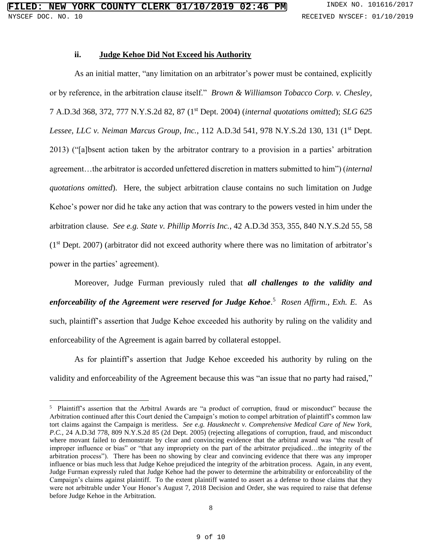#### **ii. Judge Kehoe Did Not Exceed his Authority**

As an initial matter, "any limitation on an arbitrator's power must be contained, explicitly or by reference, in the arbitration clause itself." *Brown & Williamson Tobacco Corp. v. Chesley*, 7 A.D.3d 368, 372, 777 N.Y.S.2d 82, 87 (1st Dept. 2004) (*internal quotations omitted*); *SLG 625 Lessee, LLC v. Neiman Marcus Group, Inc., 112 A.D.3d 541, 978 N.Y.S.2d 130, 131 (1<sup>st</sup> Dept.)* 2013) ("[a]bsent action taken by the arbitrator contrary to a provision in a parties' arbitration agreement…the arbitrator is accorded unfettered discretion in matters submitted to him") (*internal quotations omitted*). Here, the subject arbitration clause contains no such limitation on Judge Kehoe's power nor did he take any action that was contrary to the powers vested in him under the arbitration clause. *See e.g. State v. Phillip Morris Inc.*, 42 A.D.3d 353, 355, 840 N.Y.S.2d 55, 58  $(1<sup>st</sup>$  Dept. 2007) (arbitrator did not exceed authority where there was no limitation of arbitrator's power in the parties' agreement).

Moreover, Judge Furman previously ruled that *all challenges to the validity and enforceability of the Agreement were reserved for Judge Kehoe*. 5 *Rosen Affirm., Exh. E.* As such, plaintiff's assertion that Judge Kehoe exceeded his authority by ruling on the validity and enforceability of the Agreement is again barred by collateral estoppel.

As for plaintiff's assertion that Judge Kehoe exceeded his authority by ruling on the validity and enforceability of the Agreement because this was "an issue that no party had raised,"

 $\overline{a}$ 

<sup>&</sup>lt;sup>5</sup> Plaintiff's assertion that the Arbitral Awards are "a product of corruption, fraud or misconduct" because the Arbitration continued after this Court denied the Campaign's motion to compel arbitration of plaintiff's common law tort claims against the Campaign is meritless. *See e.g. Hausknecht v. Comprehensive Medical Care of New York, P.C.*, 24 A.D.3d 778, 809 N.Y.S.2d 85 (2d Dept. 2005) (rejecting allegations of corruption, fraud, and misconduct where movant failed to demonstrate by clear and convincing evidence that the arbitral award was "the result of improper influence or bias" or "that any impropriety on the part of the arbitrator prejudiced…the integrity of the arbitration process"). There has been no showing by clear and convincing evidence that there was any improper influence or bias much less that Judge Kehoe prejudiced the integrity of the arbitration process. Again, in any event, Judge Furman expressly ruled that Judge Kehoe had the power to determine the arbitrability or enforceability of the Campaign's claims against plaintiff. To the extent plaintiff wanted to assert as a defense to those claims that they were not arbitrable under Your Honor's August 7, 2018 Decision and Order, she was required to raise that defense before Judge Kehoe in the Arbitration.